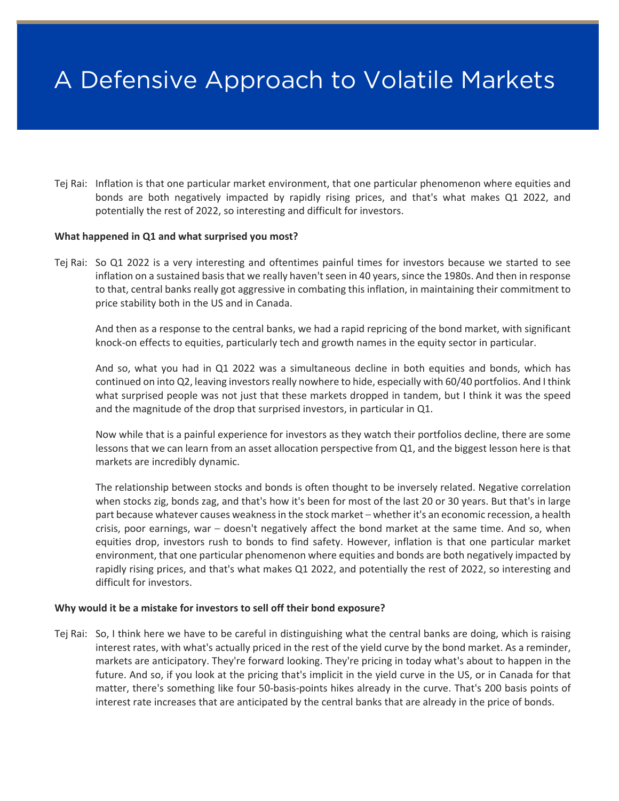# A Defensive Approach to Volatile Markets

Tej Rai: Inflation is that one particular market environment, that one particular phenomenon where equities and bonds are both negatively impacted by rapidly rising prices, and that's what makes Q1 2022, and potentially the rest of 2022, so interesting and difficult for investors.

### **What happened in Q1 and what surprised you most?**

Tej Rai: So Q1 2022 is a very interesting and oftentimes painful times for investors because we started to see inflation on a sustained basis that we really haven't seen in 40 years, since the 1980s. And then in response to that, central banks really got aggressive in combating this inflation, in maintaining their commitment to price stability both in the US and in Canada.

And then as a response to the central banks, we had a rapid repricing of the bond market, with significant knock-on effects to equities, particularly tech and growth names in the equity sector in particular.

And so, what you had in Q1 2022 was a simultaneous decline in both equities and bonds, which has continued on into Q2, leaving investors really nowhere to hide, especially with 60/40 portfolios. And I think what surprised people was not just that these markets dropped in tandem, but I think it was the speed and the magnitude of the drop that surprised investors, in particular in Q1.

Now while that is a painful experience for investors as they watch their portfolios decline, there are some lessons that we can learn from an asset allocation perspective from Q1, and the biggest lesson here is that markets are incredibly dynamic.

The relationship between stocks and bonds is often thought to be inversely related. Negative correlation when stocks zig, bonds zag, and that's how it's been for most of the last 20 or 30 years. But that's in large part because whatever causes weakness in the stock market – whether it's an economic recession, a health crisis, poor earnings, war - doesn't negatively affect the bond market at the same time. And so, when equities drop, investors rush to bonds to find safety. However, inflation is that one particular market environment, that one particular phenomenon where equities and bonds are both negatively impacted by rapidly rising prices, and that's what makes Q1 2022, and potentially the rest of 2022, so interesting and difficult for investors.

### **Why would it be a mistake for investors to sell off their bond exposure?**

Tej Rai: So, I think here we have to be careful in distinguishing what the central banks are doing, which is raising interest rates, with what's actually priced in the rest of the yield curve by the bond market. As a reminder, markets are anticipatory. They're forward looking. They're pricing in today what's about to happen in the future. And so, if you look at the pricing that's implicit in the yield curve in the US, or in Canada for that matter, there's something like four 50-basis-points hikes already in the curve. That's 200 basis points of interest rate increases that are anticipated by the central banks that are already in the price of bonds.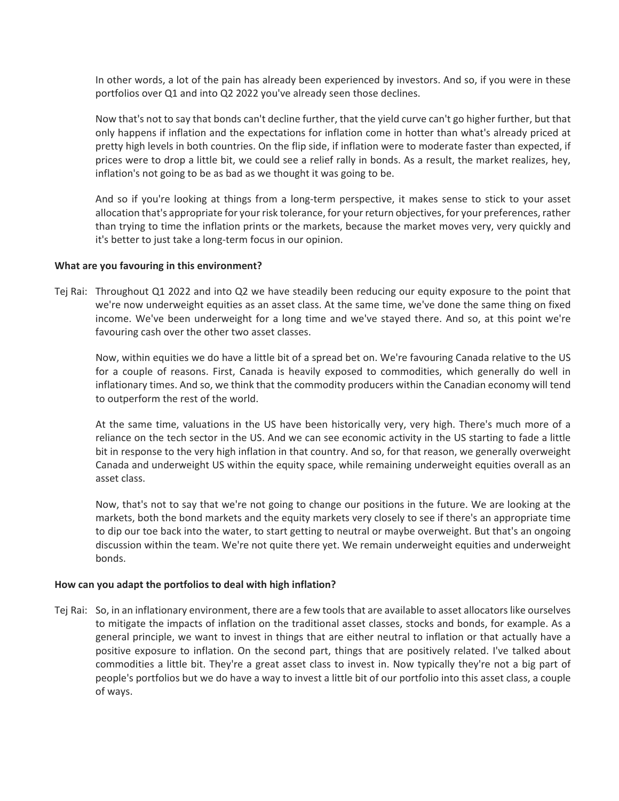In other words, a lot of the pain has already been experienced by investors. And so, if you were in these portfolios over Q1 and into Q2 2022 you've already seen those declines.

Now that's not to say that bonds can't decline further, that the yield curve can't go higher further, but that only happens if inflation and the expectations for inflation come in hotter than what's already priced at pretty high levels in both countries. On the flip side, if inflation were to moderate faster than expected, if prices were to drop a little bit, we could see a relief rally in bonds. As a result, the market realizes, hey, inflation's not going to be as bad as we thought it was going to be.

And so if you're looking at things from a long-term perspective, it makes sense to stick to your asset allocation that's appropriate for your risk tolerance, for your return objectives, for your preferences, rather than trying to time the inflation prints or the markets, because the market moves very, very quickly and it's better to just take a long-term focus in our opinion.

## **What are you favouring in this environment?**

Tej Rai: Throughout Q1 2022 and into Q2 we have steadily been reducing our equity exposure to the point that we're now underweight equities as an asset class. At the same time, we've done the same thing on fixed income. We've been underweight for a long time and we've stayed there. And so, at this point we're favouring cash over the other two asset classes.

Now, within equities we do have a little bit of a spread bet on. We're favouring Canada relative to the US for a couple of reasons. First, Canada is heavily exposed to commodities, which generally do well in inflationary times. And so, we think that the commodity producers within the Canadian economy will tend to outperform the rest of the world.

At the same time, valuations in the US have been historically very, very high. There's much more of a reliance on the tech sector in the US. And we can see economic activity in the US starting to fade a little bit in response to the very high inflation in that country. And so, for that reason, we generally overweight Canada and underweight US within the equity space, while remaining underweight equities overall as an asset class.

Now, that's not to say that we're not going to change our positions in the future. We are looking at the markets, both the bond markets and the equity markets very closely to see if there's an appropriate time to dip our toe back into the water, to start getting to neutral or maybe overweight. But that's an ongoing discussion within the team. We're not quite there yet. We remain underweight equities and underweight bonds.

### **How can you adapt the portfolios to deal with high inflation?**

Tej Rai: So, in an inflationary environment, there are a few tools that are available to asset allocators like ourselves to mitigate the impacts of inflation on the traditional asset classes, stocks and bonds, for example. As a general principle, we want to invest in things that are either neutral to inflation or that actually have a positive exposure to inflation. On the second part, things that are positively related. I've talked about commodities a little bit. They're a great asset class to invest in. Now typically they're not a big part of people's portfolios but we do have a way to invest a little bit of our portfolio into this asset class, a couple of ways.